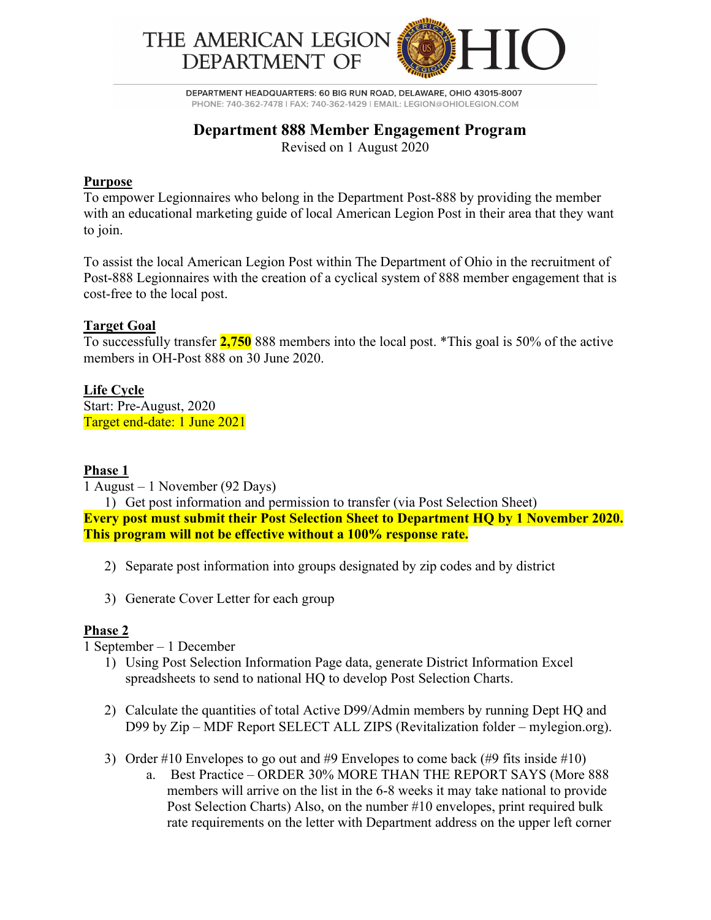

DEPARTMENT HEADQUARTERS: 60 BIG RUN ROAD, DELAWARE, OHIO 43015-8007 PHONE: 740-362-7478 | FAX: 740-362-1429 | EMAIL: LEGION@OHIOLEGION.COM

# **Department 888 Member Engagement Program**

Revised on 1 August 2020

#### **Purpose**

To empower Legionnaires who belong in the Department Post-888 by providing the member with an educational marketing guide of local American Legion Post in their area that they want to join.

To assist the local American Legion Post within The Department of Ohio in the recruitment of Post-888 Legionnaires with the creation of a cyclical system of 888 member engagement that is cost-free to the local post.

## **Target Goal**

To successfully transfer **2,750** 888 members into the local post. \*This goal is 50% of the active members in OH-Post 888 on 30 June 2020.

#### **Life Cycle**

Start: Pre-August, 2020 Target end-date: 1 June 2021

#### **Phase 1**

1 August – 1 November (92 Days)

1) Get post information and permission to transfer (via Post Selection Sheet) **Every post must submit their Post Selection Sheet to Department HQ by 1 November 2020. This program will not be effective without a 100% response rate.**

- 2) Separate post information into groups designated by zip codes and by district
- 3) Generate Cover Letter for each group

#### **Phase 2**

1 September – 1 December

- 1) Using Post Selection Information Page data, generate District Information Excel spreadsheets to send to national HQ to develop Post Selection Charts.
- 2) Calculate the quantities of total Active D99/Admin members by running Dept HQ and D99 by Zip – MDF Report SELECT ALL ZIPS (Revitalization folder – mylegion.org).
- 3) Order #10 Envelopes to go out and #9 Envelopes to come back (#9 fits inside #10)
	- a. Best Practice ORDER 30% MORE THAN THE REPORT SAYS (More 888 members will arrive on the list in the 6-8 weeks it may take national to provide Post Selection Charts) Also, on the number #10 envelopes, print required bulk rate requirements on the letter with Department address on the upper left corner